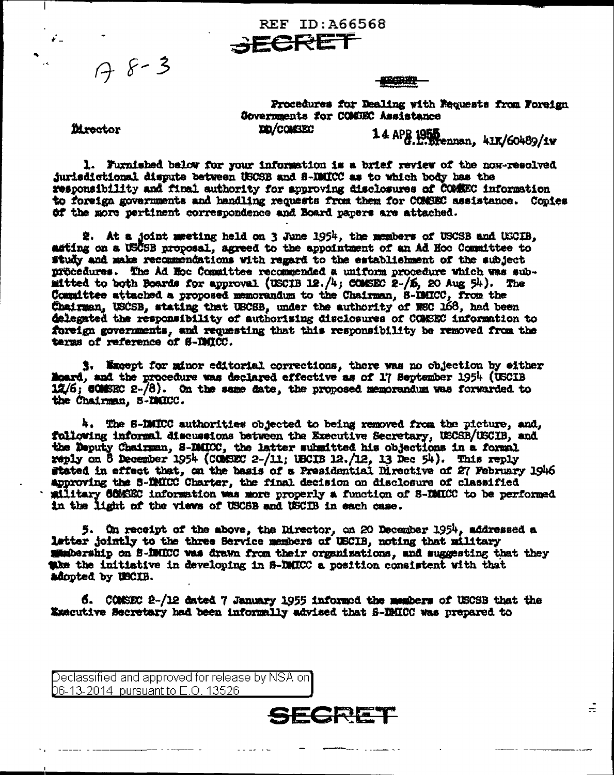$78 - 3$ 

**SECHER** 

Procedures for Dealing with Requests from Foreign Governments for COMSEC Assistance **IED/COMSEC** 

**Mrector** 

14 APR 1955<br>G.L.Brennan, 41K/60489/1w

÷

1. Furnished below for your information is a brief review of the now-resolved jurisdictional dispute between USCSB and S-IMICC as to which body has the responsibility and final authority for approving disclosures of COMMEC information to foreign governments and handling requests from them for COMSEC assistance. Copies Of the more pertinent correspondence and Board papers are attached.

**REF ID: A66568** 

**SECRET** 

2. At a joint meeting held on 3 June 1954, the members of USCSB and USCIB, asting on a USCSB proposal, agreed to the appointment of an Ad Hoc Committee to study and make recommendations with regard to the establishment of the subject procedures. The Ad Hoc Committee recommended a uniform procedure which was submitted to both Boards for approval (USCIB 12./4; COMSEC 2-/6, 20 Aug 54). The Committee attached a proposed memorandum to the Chairman, S-IMICC, from the Chairman, USCSB, stating that USCSB, under the authority of WSC 168, had been delegated the responsibility of authorising disclosures of COMEEC information to foreign governments, and requesting that this responsibility be removed from the terms of reference of S-IMICC.

3. Except for minor editorial corrections, there was no objection by either Moard, and the procedure was declared effective as of 17 September 1954 (USCIB  $12/6$ ; COMSEC 2- $/8$ ). On the same date, the proposed memorandum was forwarded to the Chairman, S-DMICC.

4. The S-DMICC authorities objected to being removed from the picture, and, following informal discussions between the Executive Secretary, USCSB/USCIB, and the Deputy Chairman, S-DMICC, the latter submitted his objections in a formal reply on 8 December 1954 (COMSEC 2-/11; USCIB 12./12, 13 Dec 54). This reply stated in effect that, on the basis of a Presidential Directive of 27 February 1946 approving the S-DMICC Charter, the final decision on disclosure of classified military COMSEC information was more properly a function of S-DMICC to be performed in the light of the views of USCSB and USCIB in each case.

5. On receipt of the above, the Director, on 20 December 1954, addressed a latter jointly to the three Service members of USCIB, noting that military supporting on S-IMICC was drawn from their organizations, and suggesting that they the the initiative in developing in 8-DMICC a position consistent with that adopted by USCIB.

6. COMSEC 2-/12 dated 7 January 1955 informed the members of USCSB that the Executive Secretary had been informally advised that S-DMICC was prepared to

SECRET

Declassified and approved for release by NSA on] **D**6-13-2014 pursuant to E.O. 13526 .